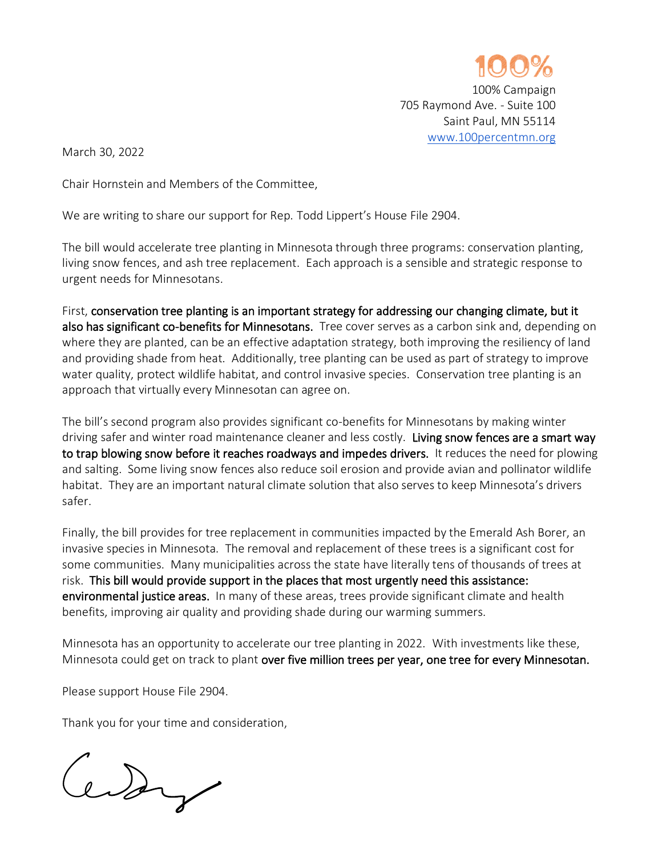

March 30, 2022

Chair Hornstein and Members of the Committee,

We are writing to share our support for Rep. Todd Lippert's House File 2904.

The bill would accelerate tree planting in Minnesota through three programs: conservation planting, living snow fences, and ash tree replacement. Each approach is a sensible and strategic response to urgent needs for Minnesotans.

First, conservation tree planting is an important strategy for addressing our changing climate, but it also has significant co-benefits for Minnesotans. Tree cover serves as a carbon sink and, depending on where they are planted, can be an effective adaptation strategy, both improving the resiliency of land and providing shade from heat. Additionally, tree planting can be used as part of strategy to improve water quality, protect wildlife habitat, and control invasive species. Conservation tree planting is an approach that virtually every Minnesotan can agree on.

The bill's second program also provides significant co-benefits for Minnesotans by making winter driving safer and winter road maintenance cleaner and less costly. Living snow fences are a smart way to trap blowing snow before it reaches roadways and impedes drivers. It reduces the need for plowing and salting. Some living snow fences also reduce soil erosion and provide avian and pollinator wildlife habitat. They are an important natural climate solution that also serves to keep Minnesota's drivers safer.

Finally, the bill provides for tree replacement in communities impacted by the Emerald Ash Borer, an invasive species in Minnesota. The removal and replacement of these trees is a significant cost for some communities. Many municipalities across the state have literally tens of thousands of trees at risk. This bill would provide support in the places that most urgently need this assistance: environmental justice areas. In many of these areas, trees provide significant climate and health benefits, improving air quality and providing shade during our warming summers.

Minnesota has an opportunity to accelerate our tree planting in 2022. With investments like these, Minnesota could get on track to plant over five million trees per year, one tree for every Minnesotan.

Please support House File 2904.

Thank you for your time and consideration,

Centry